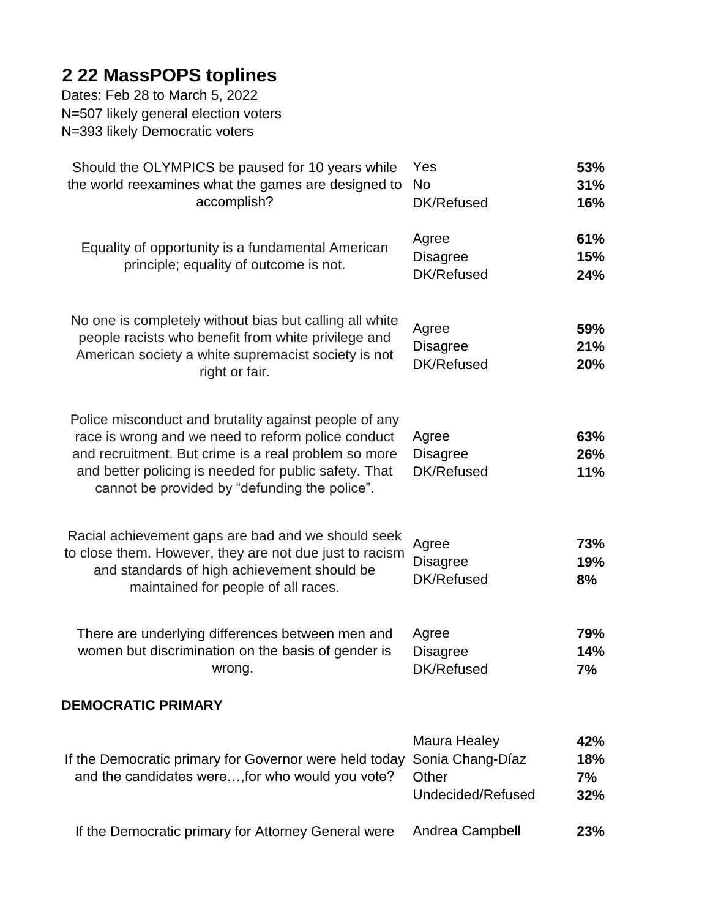## **2 22 MassPOPS toplines**

Dates: Feb 28 to March 5, 2022 N=507 likely general election voters N=393 likely Democratic voters

| Should the OLYMPICS be paused for 10 years while<br>the world reexamines what the games are designed to<br>accomplish?                                                                                                                                                        | Yes<br><b>No</b><br>DK/Refused                                 | 53%<br>31%<br>16%       |
|-------------------------------------------------------------------------------------------------------------------------------------------------------------------------------------------------------------------------------------------------------------------------------|----------------------------------------------------------------|-------------------------|
| Equality of opportunity is a fundamental American<br>principle; equality of outcome is not.                                                                                                                                                                                   | Agree<br><b>Disagree</b><br>DK/Refused                         | 61%<br>15%<br>24%       |
| No one is completely without bias but calling all white<br>people racists who benefit from white privilege and<br>American society a white supremacist society is not<br>right or fair.                                                                                       | Agree<br><b>Disagree</b><br>DK/Refused                         | 59%<br>21%<br>20%       |
| Police misconduct and brutality against people of any<br>race is wrong and we need to reform police conduct<br>and recruitment. But crime is a real problem so more<br>and better policing is needed for public safety. That<br>cannot be provided by "defunding the police". | Agree<br><b>Disagree</b><br>DK/Refused                         | 63%<br>26%<br>11%       |
| Racial achievement gaps are bad and we should seek<br>to close them. However, they are not due just to racism<br>and standards of high achievement should be<br>maintained for people of all races.                                                                           | Agree<br><b>Disagree</b><br>DK/Refused                         | 73%<br>19%<br>8%        |
| There are underlying differences between men and<br>women but discrimination on the basis of gender is<br>wrong.                                                                                                                                                              | Agree<br><b>Disagree</b><br>DK/Refused                         | 79%<br>14%<br>7%        |
| <b>DEMOCRATIC PRIMARY</b>                                                                                                                                                                                                                                                     |                                                                |                         |
| If the Democratic primary for Governor were held today<br>and the candidates were, for who would you vote?                                                                                                                                                                    | Maura Healey<br>Sonia Chang-Díaz<br>Other<br>Undecided/Refused | 42%<br>18%<br>7%<br>32% |
| If the Democratic primary for Attorney General were                                                                                                                                                                                                                           | Andrea Campbell                                                | 23%                     |